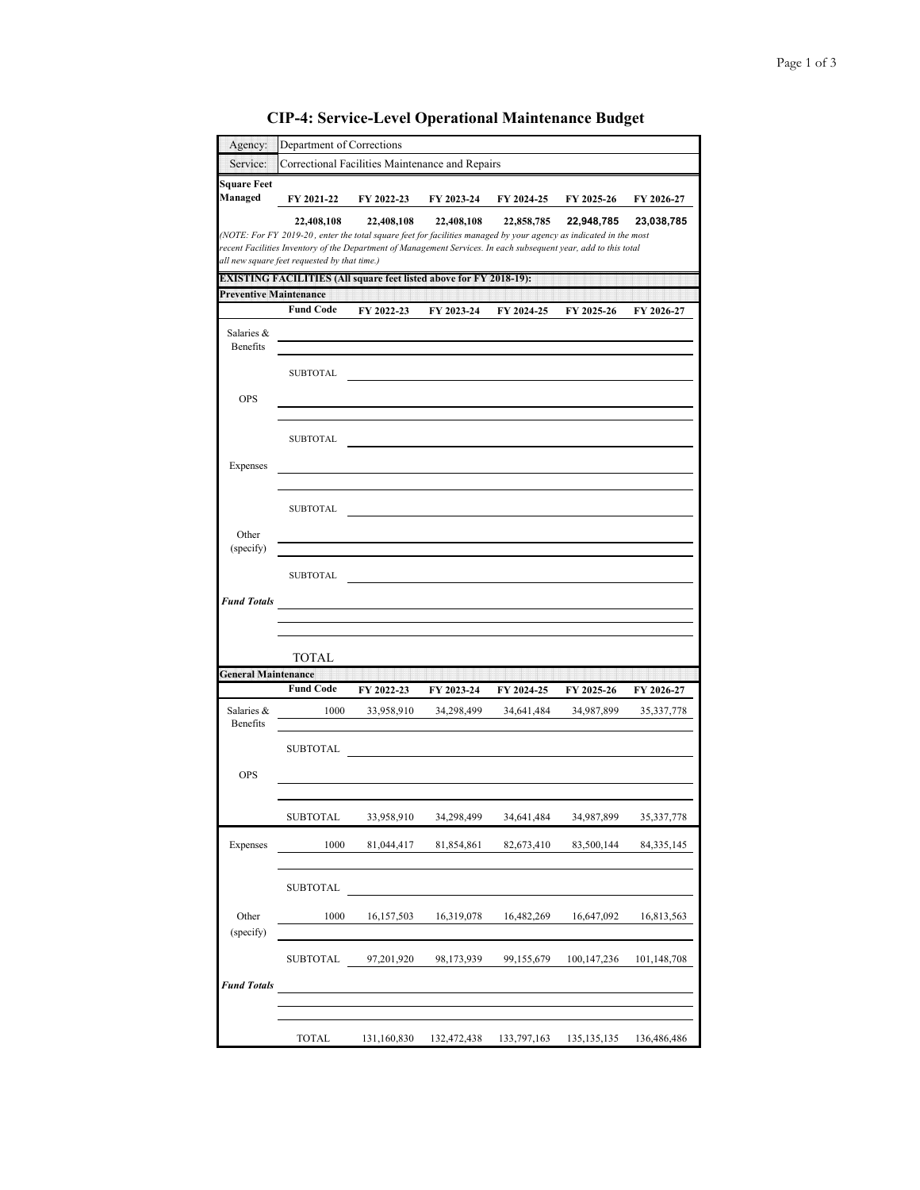| Agency:                       | Department of Corrections                    |                                                                                                                                                                                                                                                     |            |            |             |              |
|-------------------------------|----------------------------------------------|-----------------------------------------------------------------------------------------------------------------------------------------------------------------------------------------------------------------------------------------------------|------------|------------|-------------|--------------|
| Service:                      |                                              | Correctional Facilities Maintenance and Repairs                                                                                                                                                                                                     |            |            |             |              |
| <b>Square Feet</b><br>Managed | FY 2021-22                                   | FY 2022-23                                                                                                                                                                                                                                          | FY 2023-24 | FY 2024-25 | FY 2025-26  | FY 2026-27   |
|                               | 22,408,108                                   | 22,408,108<br>(NOTE: For FY 2019-20, enter the total square feet for facilities managed by your agency as indicated in the most<br>recent Facilities Inventory of the Department of Management Services. In each subsequent year, add to this total | 22,408,108 | 22,858,785 | 22,948,785  | 23,038,785   |
|                               | all new square feet requested by that time.) | <b>EXISTING FACILITIES (All square feet listed above for FY 2018-19):</b>                                                                                                                                                                           |            |            |             |              |
| <b>Preventive Maintenance</b> |                                              |                                                                                                                                                                                                                                                     |            |            |             |              |
|                               | <b>Fund Code</b>                             | FY 2022-23                                                                                                                                                                                                                                          | FY 2023-24 | FY 2024-25 | FY 2025-26  | FY 2026-27   |
| Salaries &<br>Benefits        |                                              |                                                                                                                                                                                                                                                     |            |            |             |              |
|                               | <b>SUBTOTAL</b>                              |                                                                                                                                                                                                                                                     |            |            |             |              |
| <b>OPS</b>                    |                                              |                                                                                                                                                                                                                                                     |            |            |             |              |
|                               | <b>SUBTOTAL</b>                              |                                                                                                                                                                                                                                                     |            |            |             |              |
| Expenses                      |                                              |                                                                                                                                                                                                                                                     |            |            |             |              |
|                               | <b>SUBTOTAL</b>                              |                                                                                                                                                                                                                                                     |            |            |             |              |
| Other<br>(specify)            |                                              |                                                                                                                                                                                                                                                     |            |            |             |              |
|                               | <b>SUBTOTAL</b>                              |                                                                                                                                                                                                                                                     |            |            |             |              |
| <b>Fund Totals</b>            |                                              |                                                                                                                                                                                                                                                     |            |            |             |              |
|                               |                                              |                                                                                                                                                                                                                                                     |            |            |             |              |
|                               | TOTAL                                        |                                                                                                                                                                                                                                                     |            |            |             |              |
| <b>General Maintenance</b>    |                                              |                                                                                                                                                                                                                                                     |            |            |             |              |
|                               | <b>Fund Code</b>                             | FY 2022-23                                                                                                                                                                                                                                          | FY 2023-24 | FY 2024-25 | FY 2025-26  | FY 2026-27   |
| Salaries &<br>Benefits        | 1000                                         | 33,958,910                                                                                                                                                                                                                                          | 34,298,499 | 34,641,484 | 34,987,899  | 35, 337, 778 |
|                               | <b>SUBTOTAL</b>                              |                                                                                                                                                                                                                                                     |            |            |             |              |
| <b>OPS</b>                    |                                              |                                                                                                                                                                                                                                                     |            |            |             |              |
|                               | <b>SUBTOTAL</b>                              | 33,958,910                                                                                                                                                                                                                                          | 34,298,499 | 34,641,484 | 34,987,899  | 35, 337, 778 |
| Expenses                      | 1000                                         | 81,044,417                                                                                                                                                                                                                                          | 81,854,861 | 82,673,410 | 83,500,144  | 84, 335, 145 |
|                               | <b>SUBTOTAL</b>                              |                                                                                                                                                                                                                                                     |            |            |             |              |
| Other<br>(specify)            | 1000                                         | 16,157,503                                                                                                                                                                                                                                          | 16,319,078 | 16,482,269 | 16,647,092  | 16,813,563   |
|                               |                                              |                                                                                                                                                                                                                                                     | 98,173,939 | 99,155,679 | 100,147,236 |              |
|                               | SUBTOTAL                                     | 97,201,920                                                                                                                                                                                                                                          |            |            |             | 101,148,708  |
|                               |                                              |                                                                                                                                                                                                                                                     |            |            |             |              |
| <b>Fund Totals</b>            |                                              |                                                                                                                                                                                                                                                     |            |            |             |              |

## **CIP-4: Service-Level Operational Maintenance Budget**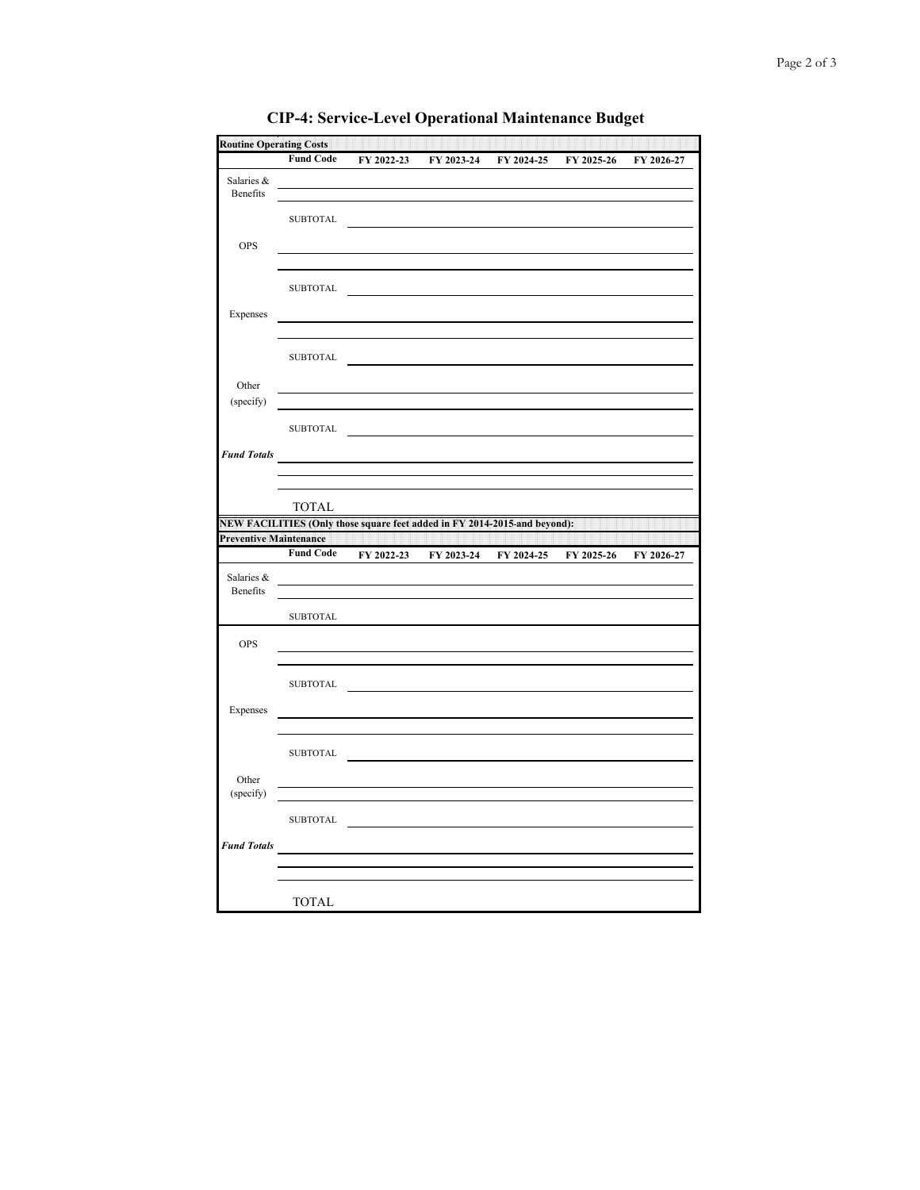|                    | <b>Routine Operating Costs</b> |                                                                                                                                                                                                                                      |            |                       |            |            |
|--------------------|--------------------------------|--------------------------------------------------------------------------------------------------------------------------------------------------------------------------------------------------------------------------------------|------------|-----------------------|------------|------------|
|                    | <b>Fund Code</b>               | FY 2022-23                                                                                                                                                                                                                           |            | FY 2023-24 FY 2024-25 | FY 2025-26 | FY 2026-27 |
| Salaries &         |                                |                                                                                                                                                                                                                                      |            |                       |            |            |
| Benefits           |                                |                                                                                                                                                                                                                                      |            |                       |            |            |
|                    | SUBTOTAL                       |                                                                                                                                                                                                                                      |            |                       |            |            |
|                    |                                |                                                                                                                                                                                                                                      |            |                       |            |            |
| <b>OPS</b>         |                                |                                                                                                                                                                                                                                      |            |                       |            |            |
|                    |                                |                                                                                                                                                                                                                                      |            |                       |            |            |
|                    |                                | SUBTOTAL                                                                                                                                                                                                                             |            |                       |            |            |
|                    |                                |                                                                                                                                                                                                                                      |            |                       |            |            |
| Expenses           |                                |                                                                                                                                                                                                                                      |            |                       |            |            |
|                    |                                |                                                                                                                                                                                                                                      |            |                       |            |            |
|                    | SUBTOTAL                       |                                                                                                                                                                                                                                      |            |                       |            |            |
|                    |                                |                                                                                                                                                                                                                                      |            |                       |            |            |
| Other<br>(specify) |                                |                                                                                                                                                                                                                                      |            |                       |            |            |
|                    |                                |                                                                                                                                                                                                                                      |            |                       |            |            |
|                    | <b>SUBTOTAL</b>                |                                                                                                                                                                                                                                      |            |                       |            |            |
| <b>Fund Totals</b> |                                |                                                                                                                                                                                                                                      |            |                       |            |            |
|                    |                                |                                                                                                                                                                                                                                      |            |                       |            |            |
|                    |                                |                                                                                                                                                                                                                                      |            |                       |            |            |
|                    | TOTAL                          |                                                                                                                                                                                                                                      |            |                       |            |            |
|                    |                                | NEW FACILITIES (Only those square feet added in FY 2014-2015-and beyond):                                                                                                                                                            |            |                       |            |            |
|                    |                                | <b>Preventive Maintenance According to the Control of the Control of the Control of The Control of the Control of The Control of The Control of The Control of The Control of The Control of The Control of The Control of The C</b> |            |                       |            |            |
|                    | <b>Fund Code</b>               | FY 2022-23                                                                                                                                                                                                                           | FY 2023-24 | FY 2024-25            | FY 2025-26 | FY 2026-27 |
|                    |                                |                                                                                                                                                                                                                                      |            |                       |            |            |
| Salaries &         |                                |                                                                                                                                                                                                                                      |            |                       |            |            |
| Benefits           |                                |                                                                                                                                                                                                                                      |            |                       |            |            |
|                    |                                |                                                                                                                                                                                                                                      |            |                       |            |            |
|                    | <b>SUBTOTAL</b>                |                                                                                                                                                                                                                                      |            |                       |            |            |
| OPS                |                                |                                                                                                                                                                                                                                      |            |                       |            |            |
|                    |                                |                                                                                                                                                                                                                                      |            |                       |            |            |
|                    |                                |                                                                                                                                                                                                                                      |            |                       |            |            |
|                    |                                | SUBTOTAL                                                                                                                                                                                                                             |            |                       |            |            |
| Expenses           |                                |                                                                                                                                                                                                                                      |            |                       |            |            |
|                    |                                |                                                                                                                                                                                                                                      |            |                       |            |            |
|                    |                                |                                                                                                                                                                                                                                      |            |                       |            |            |
|                    |                                | $\begin{tabular}{c} \bf SUBTOTAL \end{tabular}$                                                                                                                                                                                      |            |                       |            |            |
| Other              |                                |                                                                                                                                                                                                                                      |            |                       |            |            |
| (specify)          |                                |                                                                                                                                                                                                                                      |            |                       |            |            |
|                    |                                | ${\tt SUBTOTAL} \begin{tabular}{c} \textbf{\texttt{SUBTOTAL}} \end{tabular}$                                                                                                                                                         |            |                       |            |            |
|                    |                                |                                                                                                                                                                                                                                      |            |                       |            |            |
| <b>Fund Totals</b> |                                |                                                                                                                                                                                                                                      |            |                       |            |            |
|                    |                                |                                                                                                                                                                                                                                      |            |                       |            |            |

**CIP-4: Service-Level Operational Maintenance Budget**